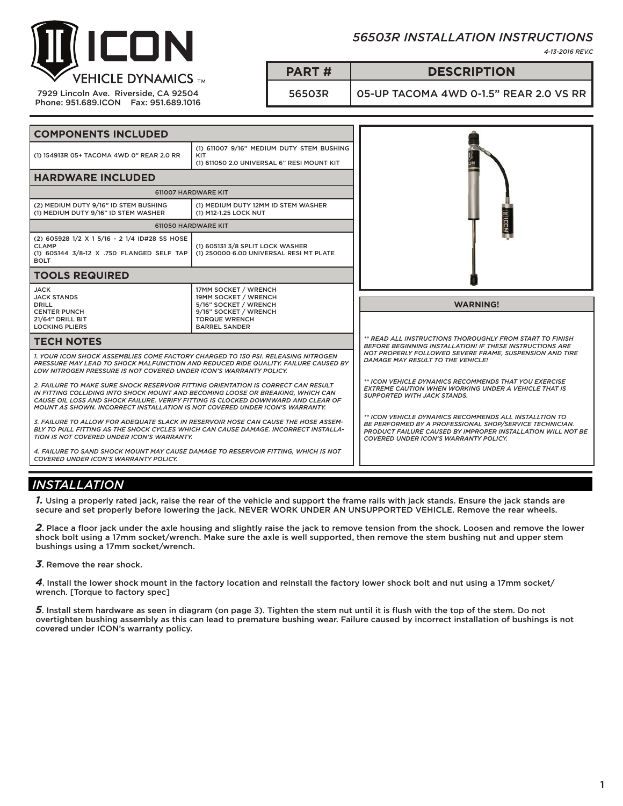

7929 Lincoln Ave. Riverside, CA 92504 Phone: 951.689.ICON Fax: 951.689.1016

# *56503R INSTALLATION INSTRUCTIONS*

*4-13-2016 REV.C*

## **PART # DESCRIPTION**

56503R 05-UP TACOMA 4WD 0-1.5" REAR 2.0 VS RR

| <b>COMPONENTS INCLUDED</b>                                                                                                                                                                                                                                                                                                                       |                                                                                                |                                                                                                                                                                                                                                  |
|--------------------------------------------------------------------------------------------------------------------------------------------------------------------------------------------------------------------------------------------------------------------------------------------------------------------------------------------------|------------------------------------------------------------------------------------------------|----------------------------------------------------------------------------------------------------------------------------------------------------------------------------------------------------------------------------------|
| (1) 154913R 05+ TACOMA 4WD 0" REAR 2.0 RR                                                                                                                                                                                                                                                                                                        | (1) 611007 9/16" MEDIUM DUTY STEM BUSHING<br>KIT<br>(1) 611050 2.0 UNIVERSAL 6" RESI MOUNT KIT |                                                                                                                                                                                                                                  |
| <b>HARDWARE INCLUDED</b>                                                                                                                                                                                                                                                                                                                         |                                                                                                |                                                                                                                                                                                                                                  |
| 611007 HARDWARE KIT                                                                                                                                                                                                                                                                                                                              |                                                                                                |                                                                                                                                                                                                                                  |
| (2) MEDIUM DUTY 9/16" ID STEM BUSHING<br>(1) MEDIUM DUTY 9/16" ID STEM WASHER                                                                                                                                                                                                                                                                    | (1) MEDIUM DUTY 12MM ID STEM WASHER<br>(1) M12-1.25 LOCK NUT                                   |                                                                                                                                                                                                                                  |
| 611050 HARDWARE KIT                                                                                                                                                                                                                                                                                                                              |                                                                                                | <b>JIJICON</b>                                                                                                                                                                                                                   |
| (2) 605928 1/2 X 1 5/16 - 2 1/4 ID#28 SS HOSE<br><b>CLAMP</b><br>(1) 605144 3/8-12 X .750 FLANGED SELF TAP<br><b>BOLT</b>                                                                                                                                                                                                                        | (1) 605131 3/8 SPLIT LOCK WASHER<br>(1) 250000 6.00 UNIVERSAL RESI MT PLATE                    |                                                                                                                                                                                                                                  |
| <b>TOOLS REQUIRED</b>                                                                                                                                                                                                                                                                                                                            |                                                                                                |                                                                                                                                                                                                                                  |
| <b>JACK</b><br><b>JACK STANDS</b><br><b>DRILL</b><br><b>CENTER PUNCH</b>                                                                                                                                                                                                                                                                         | 17MM SOCKET / WRENCH<br>19MM SOCKET / WRENCH<br>5/16" SOCKET / WRENCH<br>9/16" SOCKET / WRENCH | <b>WARNING!</b>                                                                                                                                                                                                                  |
| 21/64" DRILL BIT<br><b>LOCKING PLIERS</b>                                                                                                                                                                                                                                                                                                        | <b>TORQUE WRENCH</b><br><b>BARREL SANDER</b>                                                   |                                                                                                                                                                                                                                  |
| <b>TECH NOTES</b>                                                                                                                                                                                                                                                                                                                                |                                                                                                | ** READ ALL INSTRUCTIONS THOROUGHLY FROM START TO FINISH<br><b>BEFORE BEGINNING INSTALLATION! IF THESE INSTRUCTIONS ARE</b>                                                                                                      |
| 1. YOUR ICON SHOCK ASSEMBLIES COME FACTORY CHARGED TO 150 PSI. RELEASING NITROGEN<br>LOW NITROGEN PRESSURE IS NOT COVERED UNDER ICON'S WARRANTY POLICY.                                                                                                                                                                                          | PRESSURE MAY LEAD TO SHOCK MALFUNCTION AND REDUCED RIDE QUALITY. FAILURE CAUSED BY             | NOT PROPERLY FOLLOWED SEVERE FRAME. SUSPENSION AND TIRE<br>DAMAGE MAY RESULT TO THE VEHICLE!                                                                                                                                     |
| 2. FAILURE TO MAKE SURE SHOCK RESERVOIR FITTING ORIENTATION IS CORRECT CAN RESULT<br>IN FITTING COLLIDING INTO SHOCK MOUNT AND BECOMING LOOSE OR BREAKING. WHICH CAN<br>CAUSE OIL LOSS AND SHOCK FAILURE. VERIFY FITTING IS CLOCKED DOWNWARD AND CLEAR OF<br><b>MOUNT AS SHOWN. INCORRECT INSTALLATION IS NOT COVERED UNDER ICON'S WARRANTY.</b> |                                                                                                | ** ICON VEHICLE DYNAMICS RECOMMENDS THAT YOU EXERCISE<br><b>EXTREME CAUTION WHEN WORKING UNDER A VEHICLE THAT IS</b><br><b>SUPPORTED WITH JACK STANDS.</b>                                                                       |
| 3. FAILURE TO ALLOW FOR ADEQUATE SLACK IN RESERVOIR HOSE CAN CAUSE THE HOSE ASSEM-<br>BLY TO PULL FITTING AS THE SHOCK CYCLES WHICH CAN CAUSE DAMAGE. INCORRECT INSTALLA-<br>TION IS NOT COVERED UNDER ICON'S WARRANTY.                                                                                                                          |                                                                                                | ** ICON VEHICLE DYNAMICS RECOMMENDS ALL INSTALLTION TO<br>BE PERFORMED BY A PROFESSIONAL SHOP/SERVICE TECHNICIAN.<br><b>PRODUCT FAILURE CAUSED BY IMPROPER INSTALLATION WILL NOT BE</b><br>COVERED UNDER ICON'S WARRANTY POLICY. |

# *INSTALLATION*

*1.* Using a properly rated jack, raise the rear of the vehicle and support the frame rails with jack stands. Ensure the jack stands are secure and set properly before lowering the jack. NEVER WORK UNDER AN UNSUPPORTED VEHICLE. Remove the rear wheels.

*2*. Place a floor jack under the axle housing and slightly raise the jack to remove tension from the shock. Loosen and remove the lower shock bolt using a 17mm socket/wrench. Make sure the axle is well supported, then remove the stem bushing nut and upper stem bushings using a 17mm socket/wrench.

*3*. Remove the rear shock.

*4*. Install the lower shock mount in the factory location and reinstall the factory lower shock bolt and nut using a 17mm socket/ wrench. [Torque to factory spec]

*5*. Install stem hardware as seen in diagram (on page 3). Tighten the stem nut until it is flush with the top of the stem. Do not overtighten bushing assembly as this can lead to premature bushing wear. Failure caused by incorrect installation of bushings is not covered under ICON's warranty policy.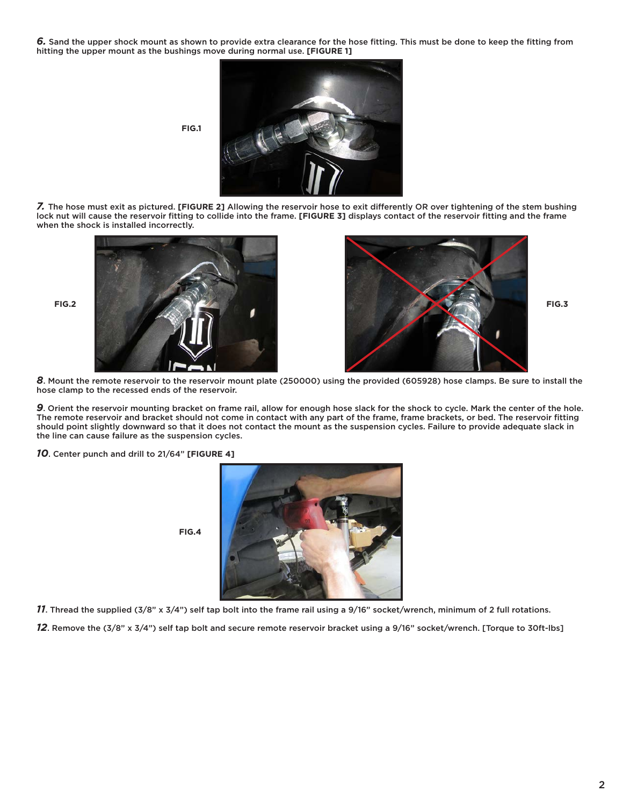*6.* Sand the upper shock mount as shown to provide extra clearance for the hose fitting. This must be done to keep the fitting from hitting the upper mount as the bushings move during normal use. **[FIGURE 1]**



*7.* The hose must exit as pictured. **[FIGURE 2]** Allowing the reservoir hose to exit differently OR over tightening of the stem bushing lock nut will cause the reservoir fitting to collide into the frame. **[FIGURE 3]** displays contact of the reservoir fitting and the frame when the shock is installed incorrectly.





*8*. Mount the remote reservoir to the reservoir mount plate (250000) using the provided (605928) hose clamps. Be sure to install the hose clamp to the recessed ends of the reservoir.

*9*. Orient the reservoir mounting bracket on frame rail, allow for enough hose slack for the shock to cycle. Mark the center of the hole. The remote reservoir and bracket should not come in contact with any part of the frame, frame brackets, or bed. The reservoir fitting should point slightly downward so that it does not contact the mount as the suspension cycles. Failure to provide adequate slack in the line can cause failure as the suspension cycles.

*10*. Center punch and drill to 21/64" **[FIGURE 4]**



*11*. Thread the supplied (3/8" x 3/4") self tap bolt into the frame rail using a 9/16" socket/wrench, minimum of 2 full rotations.

*12*. Remove the (3/8" x 3/4") self tap bolt and secure remote reservoir bracket using a 9/16" socket/wrench. [Torque to 30ft-lbs]

**FIG.4**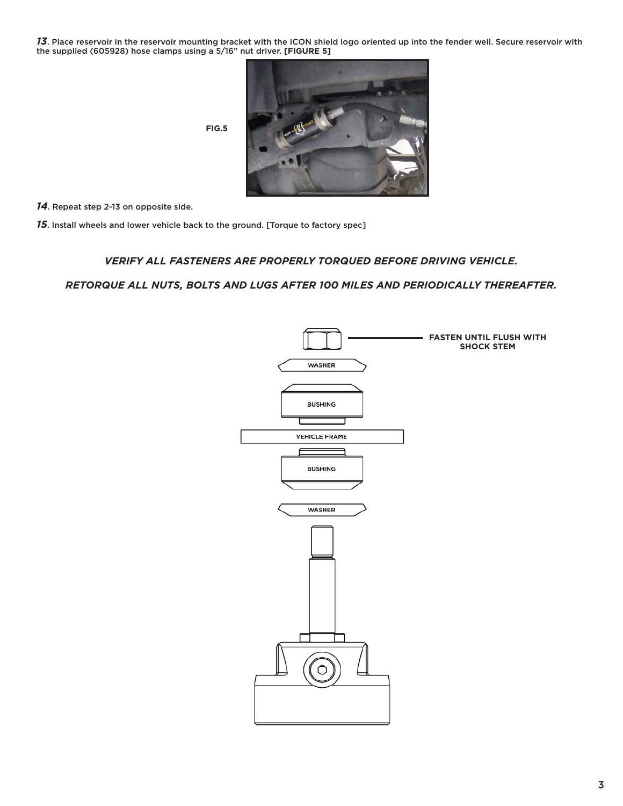*13*. Place reservoir in the reservoir mounting bracket with the ICON shield logo oriented up into the fender well. Secure reservoir with the supplied (605928) hose clamps using a 5/16" nut driver. **[FIGURE 5]**



**FIG.5**

*14*. Repeat step 2-13 on opposite side.

*15*. Install wheels and lower vehicle back to the ground. [Torque to factory spec]

### *VERIFY ALL FASTENERS ARE PROPERLY TORQUED BEFORE DRIVING VEHICLE.*

### *RETORQUE ALL NUTS, BOLTS AND LUGS AFTER 100 MILES AND PERIODICALLY THEREAFTER.*